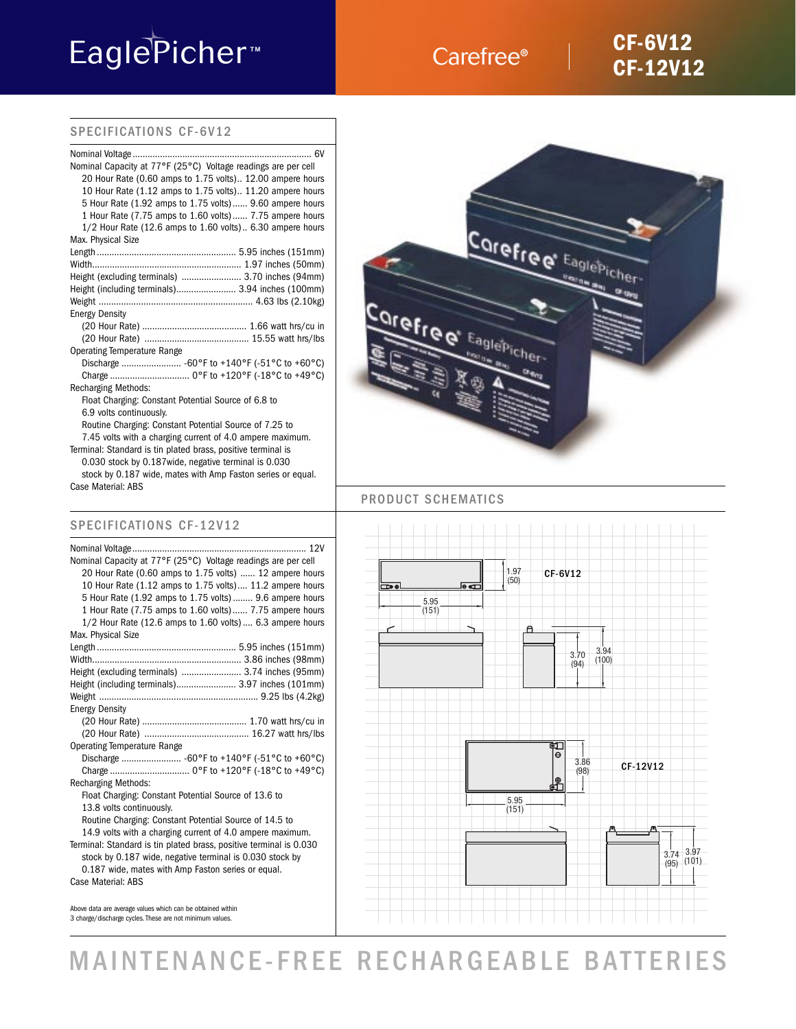# EaglePicher<sup>™</sup>

### Carefree®

### **CF-6V12 CF-12V12**

### SPECIFICATIONS CF-6V12

Terminal: Standard is tin plated brass, positive terminal is 0.030 stock by 0.187wide, negative terminal is 0.030

stock by 0.187 wide, mates with Amp Faston series or equal. Case Material: ABS

### SPECIFICATIONS CF-12V12

| Nominal Capacity at 77°F (25°C) Voltage readings are per cell      |
|--------------------------------------------------------------------|
| 20 Hour Rate (0.60 amps to 1.75 volts)  12 ampere hours            |
| 10 Hour Rate (1.12 amps to 1.75 volts) 11.2 ampere hours           |
| 5 Hour Rate (1.92 amps to 1.75 volts) 9.6 ampere hours             |
| 1 Hour Rate (7.75 amps to 1.60 volts) 7.75 ampere hours            |
| $1/2$ Hour Rate (12.6 amps to 1.60 volts) 6.3 ampere hours         |
| Max. Physical Size                                                 |
|                                                                    |
|                                                                    |
| Height (excluding terminals)  3.74 inches (95mm)                   |
| Height (including terminals) 3.97 inches (101mm)                   |
|                                                                    |
| <b>Energy Density</b>                                              |
|                                                                    |
|                                                                    |
| <b>Operating Temperature Range</b>                                 |
|                                                                    |
|                                                                    |
| <b>Recharging Methods:</b>                                         |
| Float Charging: Constant Potential Source of 13.6 to               |
| 13.8 volts continuously.                                           |
| Routine Charging: Constant Potential Source of 14.5 to             |
| 14.9 volts with a charging current of 4.0 ampere maximum.          |
| Terminal: Standard is tin plated brass, positive terminal is 0.030 |
| stock by 0.187 wide, negative terminal is 0.030 stock by           |
| 0.187 wide, mates with Amp Faston series or equal.                 |
| Case Material: ABS                                                 |

Above data are average values which can be obtained within 3 charge/discharge cycles. These are not minimum values.



### PRODUCT SCHEMATICS



## MAINTENANCE-FREE RECHARGEABLE BATTERIES